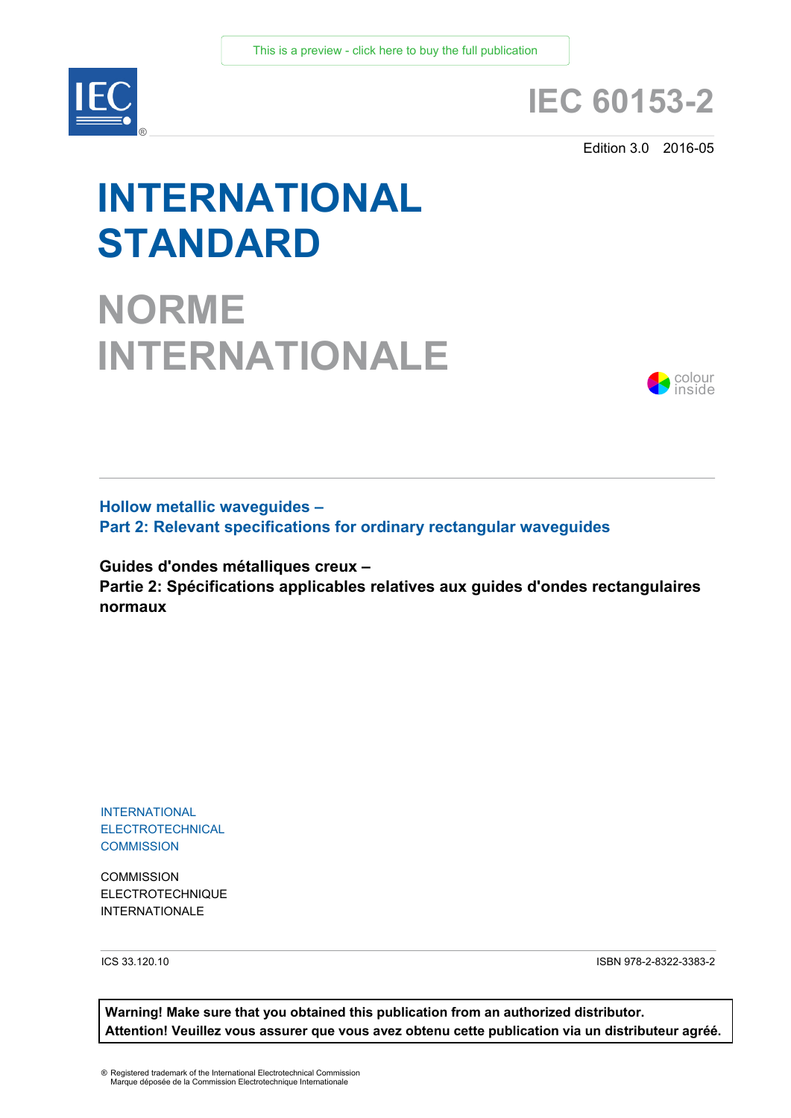

## **IEC 60153-2**

Edition 3.0 2016-05

# **INTERNATIONAL STANDARD**

**NORME INTERNATIONALE**



**Hollow metallic waveguides – Part 2: Relevant specifications for ordinary rectangular waveguides**

**Guides d'ondes métalliques creux – Partie 2: Spécifications applicables relatives aux guides d'ondes rectangulaires normaux**

INTERNATIONAL ELECTROTECHNICAL **COMMISSION** 

**COMMISSION** ELECTROTECHNIQUE INTERNATIONALE

ICS 33.120.10 ISBN 978-2-8322-3383-2

**Warning! Make sure that you obtained this publication from an authorized distributor. Attention! Veuillez vous assurer que vous avez obtenu cette publication via un distributeur agréé.**

® Registered trademark of the International Electrotechnical Commission Marque déposée de la Commission Electrotechnique Internationale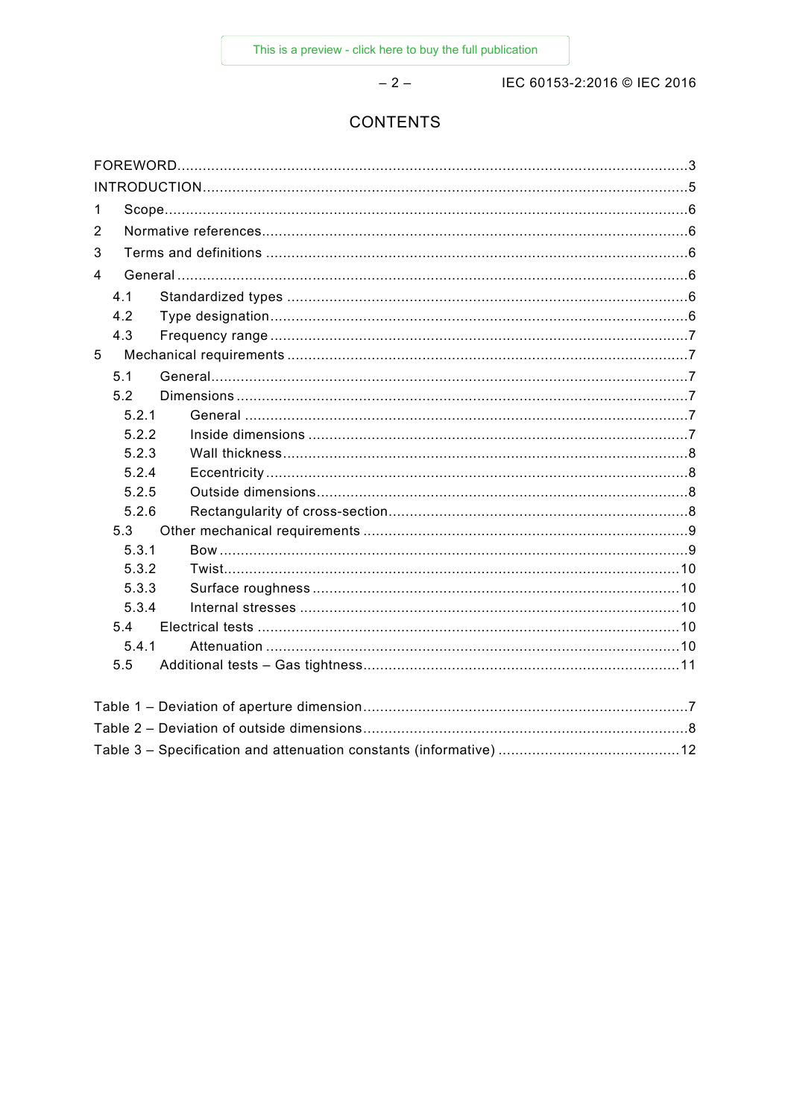$-2-$ 

IEC 60153-2:2016 © IEC 2016

## **CONTENTS**

| 1 |       |  |
|---|-------|--|
| 2 |       |  |
| 3 |       |  |
| 4 |       |  |
|   | 4.1   |  |
|   | 4.2   |  |
|   | 4.3   |  |
| 5 |       |  |
|   | 5.1   |  |
|   | 5.2   |  |
|   | 5.2.1 |  |
|   | 5.2.2 |  |
|   | 5.2.3 |  |
|   | 5.2.4 |  |
|   | 5.2.5 |  |
|   | 5.2.6 |  |
|   | 5.3   |  |
|   | 5.3.1 |  |
|   | 5.3.2 |  |
|   | 5.3.3 |  |
|   | 5.3.4 |  |
|   | 5.4   |  |
|   | 5.4.1 |  |
|   | 5.5   |  |
|   |       |  |
|   |       |  |
|   |       |  |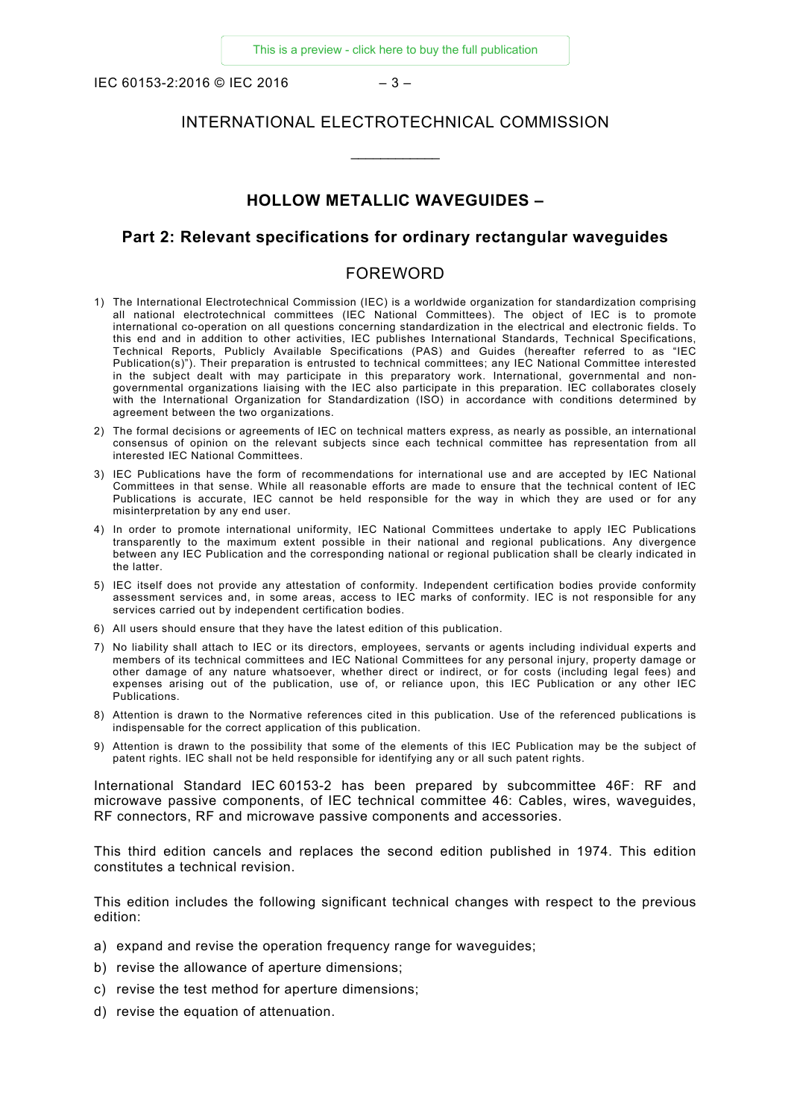IEC 60153-2:2016 © IEC 2016  $-3-$ 

## INTERNATIONAL ELECTROTECHNICAL COMMISSION

 $\overline{\phantom{a}}$ 

## **HOLLOW METALLIC WAVEGUIDES –**

#### **Part 2: Relevant specifications for ordinary rectangular waveguides**

#### FOREWORD

- <span id="page-2-0"></span>1) The International Electrotechnical Commission (IEC) is a worldwide organization for standardization comprising all national electrotechnical committees (IEC National Committees). The object of IEC is to promote international co-operation on all questions concerning standardization in the electrical and electronic fields. To this end and in addition to other activities, IEC publishes International Standards, Technical Specifications, Technical Reports, Publicly Available Specifications (PAS) and Guides (hereafter referred to as "IEC Publication(s)"). Their preparation is entrusted to technical committees; any IEC National Committee interested in the subject dealt with may participate in this preparatory work. International, governmental and nongovernmental organizations liaising with the IEC also participate in this preparation. IEC collaborates closely with the International Organization for Standardization (ISO) in accordance with conditions determined by agreement between the two organizations.
- 2) The formal decisions or agreements of IEC on technical matters express, as nearly as possible, an international consensus of opinion on the relevant subjects since each technical committee has representation from all interested IEC National Committees.
- 3) IEC Publications have the form of recommendations for international use and are accepted by IEC National Committees in that sense. While all reasonable efforts are made to ensure that the technical content of IEC Publications is accurate, IEC cannot be held responsible for the way in which they are used or for any misinterpretation by any end user.
- 4) In order to promote international uniformity, IEC National Committees undertake to apply IEC Publications transparently to the maximum extent possible in their national and regional publications. Any divergence between any IEC Publication and the corresponding national or regional publication shall be clearly indicated in the latter.
- 5) IEC itself does not provide any attestation of conformity. Independent certification bodies provide conformity assessment services and, in some areas, access to IEC marks of conformity. IEC is not responsible for any services carried out by independent certification bodies.
- 6) All users should ensure that they have the latest edition of this publication.
- 7) No liability shall attach to IEC or its directors, employees, servants or agents including individual experts and members of its technical committees and IEC National Committees for any personal injury, property damage or other damage of any nature whatsoever, whether direct or indirect, or for costs (including legal fees) and expenses arising out of the publication, use of, or reliance upon, this IEC Publication or any other IEC Publications.
- 8) Attention is drawn to the Normative references cited in this publication. Use of the referenced publications is indispensable for the correct application of this publication.
- 9) Attention is drawn to the possibility that some of the elements of this IEC Publication may be the subject of patent rights. IEC shall not be held responsible for identifying any or all such patent rights.

International Standard IEC 60153-2 has been prepared by subcommittee 46F: RF and microwave passive components, of IEC technical committee 46: Cables, wires, waveguides, RF connectors, RF and microwave passive components and accessories.

This third edition cancels and replaces the second edition published in 1974. This edition constitutes a technical revision.

This edition includes the following significant technical changes with respect to the previous edition:

- a) expand and revise the operation frequency range for waveguides;
- b) revise the allowance of aperture dimensions;
- c) revise the test method for aperture dimensions;
- d) revise the equation of attenuation.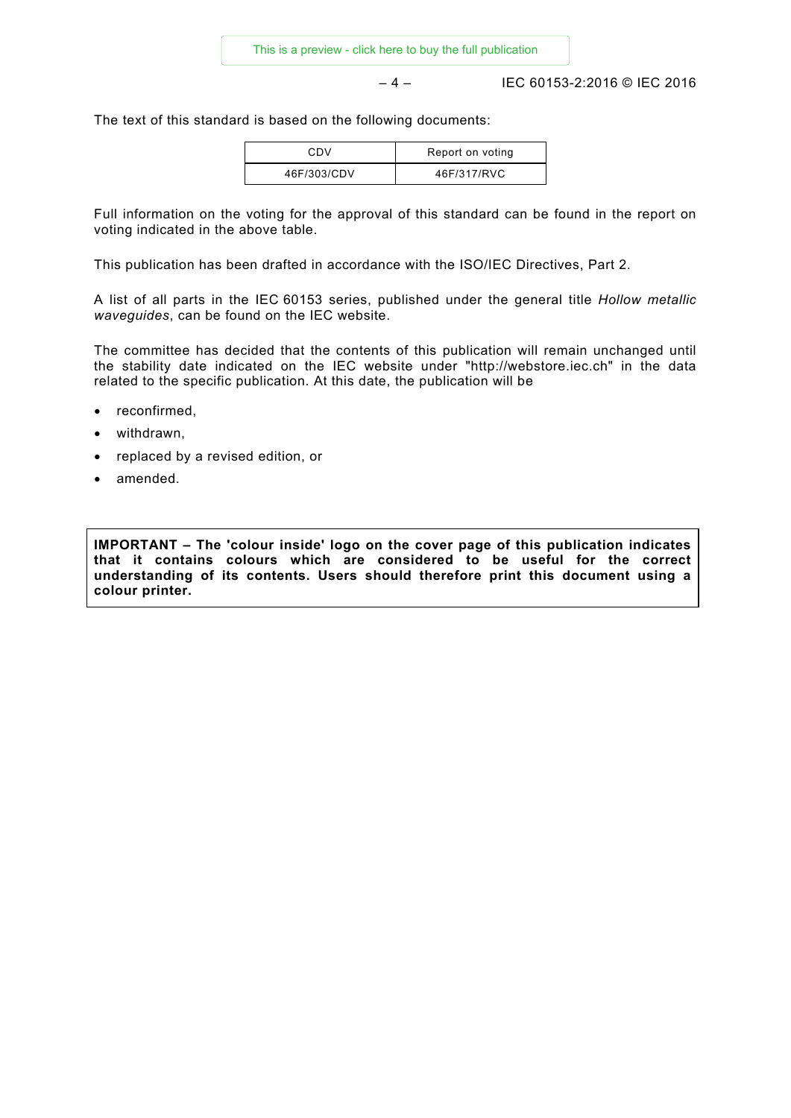– 4 – IEC 60153-2:2016 © IEC 2016

The text of this standard is based on the following documents:

| CDV         | Report on voting |
|-------------|------------------|
| 46F/303/CDV | 46F/317/RVC      |

Full information on the voting for the approval of this standard can be found in the report on voting indicated in the above table.

This publication has been drafted in accordance with the ISO/IEC Directives, Part 2.

A list of all parts in the IEC 60153 series, published under the general title *Hollow metallic waveguides*, can be found on the IEC website.

The committee has decided that the contents of this publication will remain unchanged until the stability date indicated on the IEC website under "http://webstore.iec.ch" in the data related to the specific publication. At this date, the publication will be

- reconfirmed,
- withdrawn,
- replaced by a revised edition, or
- amended.

**IMPORTANT – The 'colour inside' logo on the cover page of this publication indicates that it contains colours which are considered to be useful for the correct understanding of its contents. Users should therefore print this document using a colour printer.**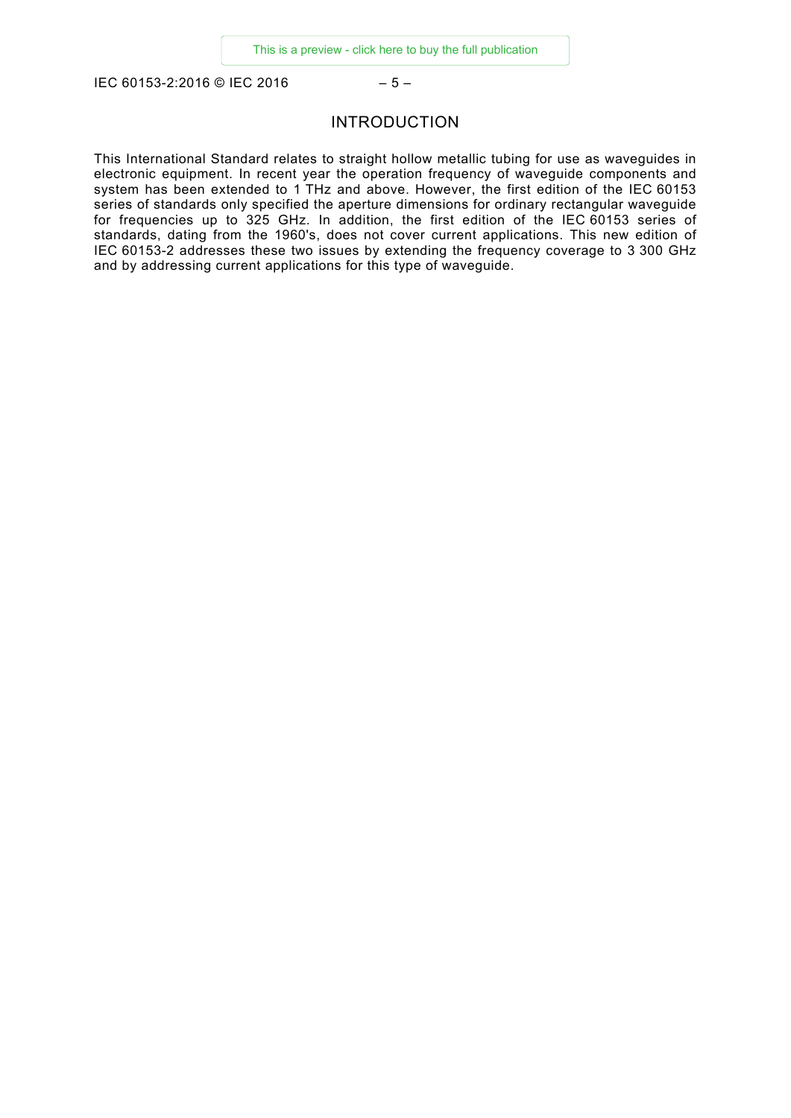<span id="page-4-0"></span>IEC 60153-2:2016 © IEC 2016 – 5 –

## INTRODUCTION

This International Standard relates to straight hollow metallic tubing for use as waveguides in electronic equipment. In recent year the operation frequency of waveguide components and system has been extended to 1 THz and above. However, the first edition of the IEC 60153 series of standards only specified the aperture dimensions for ordinary rectangular waveguide for frequencies up to 325 GHz. In addition, the first edition of the IEC 60153 series of standards, dating from the 1960's, does not cover current applications. This new edition of IEC 60153-2 addresses these two issues by extending the frequency coverage to 3 300 GHz and by addressing current applications for this type of waveguide.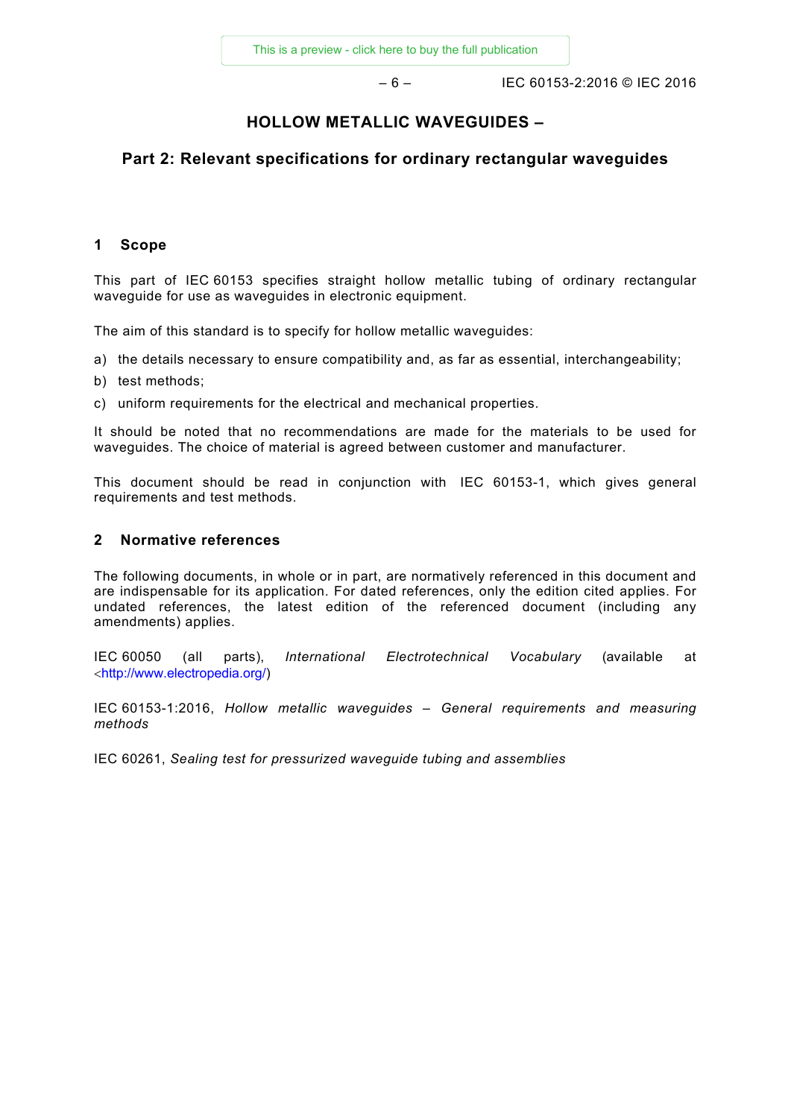– 6 – IEC 60153-2:2016 © IEC 2016

## **HOLLOW METALLIC WAVEGUIDES –**

## **Part 2: Relevant specifications for ordinary rectangular waveguides**

#### <span id="page-5-0"></span>**1 Scope**

This part of IEC 60153 specifies straight hollow metallic tubing of ordinary rectangular waveguide for use as waveguides in electronic equipment.

The aim of this standard is to specify for hollow metallic waveguides:

a) the details necessary to ensure compatibility and, as far as essential, interchangeability;

- b) test methods;
- c) uniform requirements for the electrical and mechanical properties.

It should be noted that no recommendations are made for the materials to be used for waveguides. The choice of material is agreed between customer and manufacturer.

This document should be read in conjunction with IEC 60153-1, which gives general requirements and test methods.

## <span id="page-5-1"></span>**2 Normative references**

The following documents, in whole or in part, are normatively referenced in this document and are indispensable for its application. For dated references, only the edition cited applies. For undated references, the latest edition of the referenced document (including any amendments) applies.

IEC 60050 (all parts), *International Electrotechnical Vocabulary* (available at <[http://www.electropedia.org/\)](http://www.electropedia.org/)

IEC 60153-1:2016, *Hollow metallic waveguides – General requirements and measuring methods*

<span id="page-5-5"></span><span id="page-5-4"></span><span id="page-5-3"></span><span id="page-5-2"></span>IEC 60261, *Sealing test for pressurized waveguide tubing and assemblies*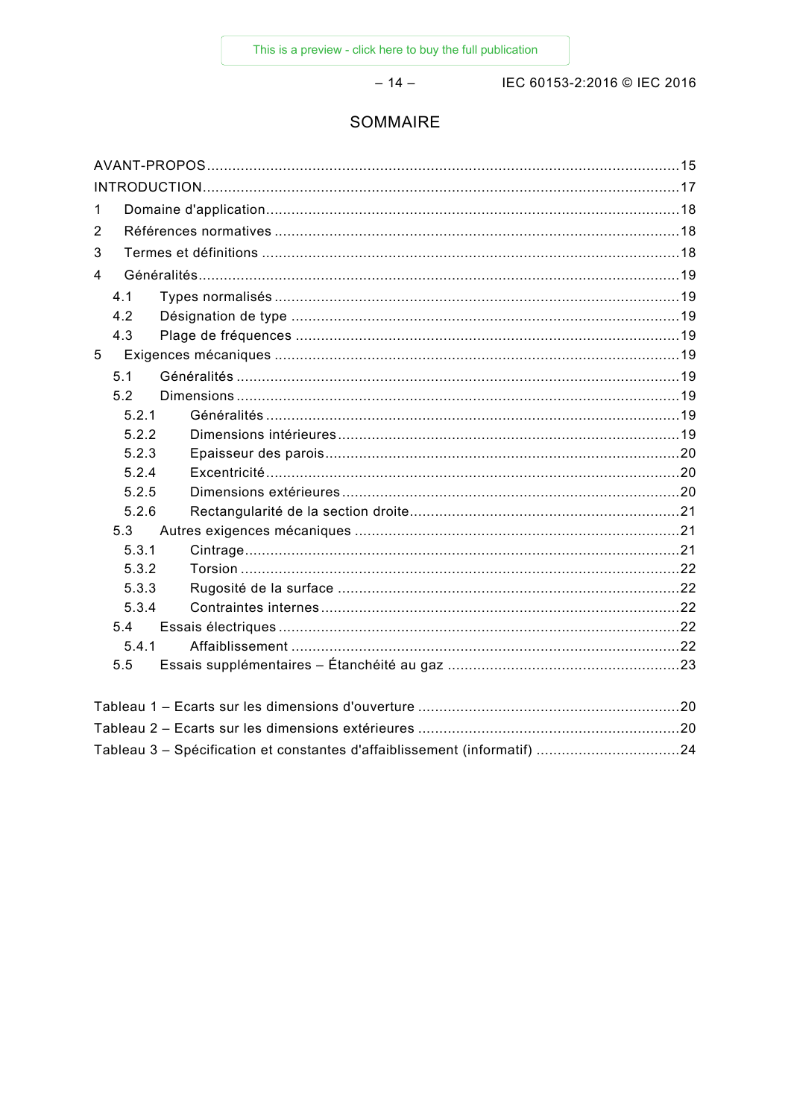$-14-$ 

IEC 60153-2:2016 © IEC 2016

## SOMMAIRE

| 1                                                                         |       |  |  |  |  |  |  |
|---------------------------------------------------------------------------|-------|--|--|--|--|--|--|
| 2                                                                         |       |  |  |  |  |  |  |
| 3                                                                         |       |  |  |  |  |  |  |
| $\overline{4}$                                                            |       |  |  |  |  |  |  |
|                                                                           | 4.1   |  |  |  |  |  |  |
|                                                                           | 4.2   |  |  |  |  |  |  |
|                                                                           | 4.3   |  |  |  |  |  |  |
| 5                                                                         |       |  |  |  |  |  |  |
|                                                                           | 5.1   |  |  |  |  |  |  |
|                                                                           | 5.2   |  |  |  |  |  |  |
|                                                                           | 5.2.1 |  |  |  |  |  |  |
|                                                                           | 5.2.2 |  |  |  |  |  |  |
|                                                                           | 5.2.3 |  |  |  |  |  |  |
|                                                                           | 5.2.4 |  |  |  |  |  |  |
|                                                                           | 5.2.5 |  |  |  |  |  |  |
|                                                                           | 5.2.6 |  |  |  |  |  |  |
|                                                                           | 5.3   |  |  |  |  |  |  |
|                                                                           | 5.3.1 |  |  |  |  |  |  |
|                                                                           | 5.3.2 |  |  |  |  |  |  |
|                                                                           | 5.3.3 |  |  |  |  |  |  |
|                                                                           | 5.3.4 |  |  |  |  |  |  |
|                                                                           | 5.4   |  |  |  |  |  |  |
|                                                                           | 5.4.1 |  |  |  |  |  |  |
|                                                                           | 5.5   |  |  |  |  |  |  |
|                                                                           |       |  |  |  |  |  |  |
|                                                                           |       |  |  |  |  |  |  |
| Tableau 3 - Spécification et constantes d'affaiblissement (informatif) 24 |       |  |  |  |  |  |  |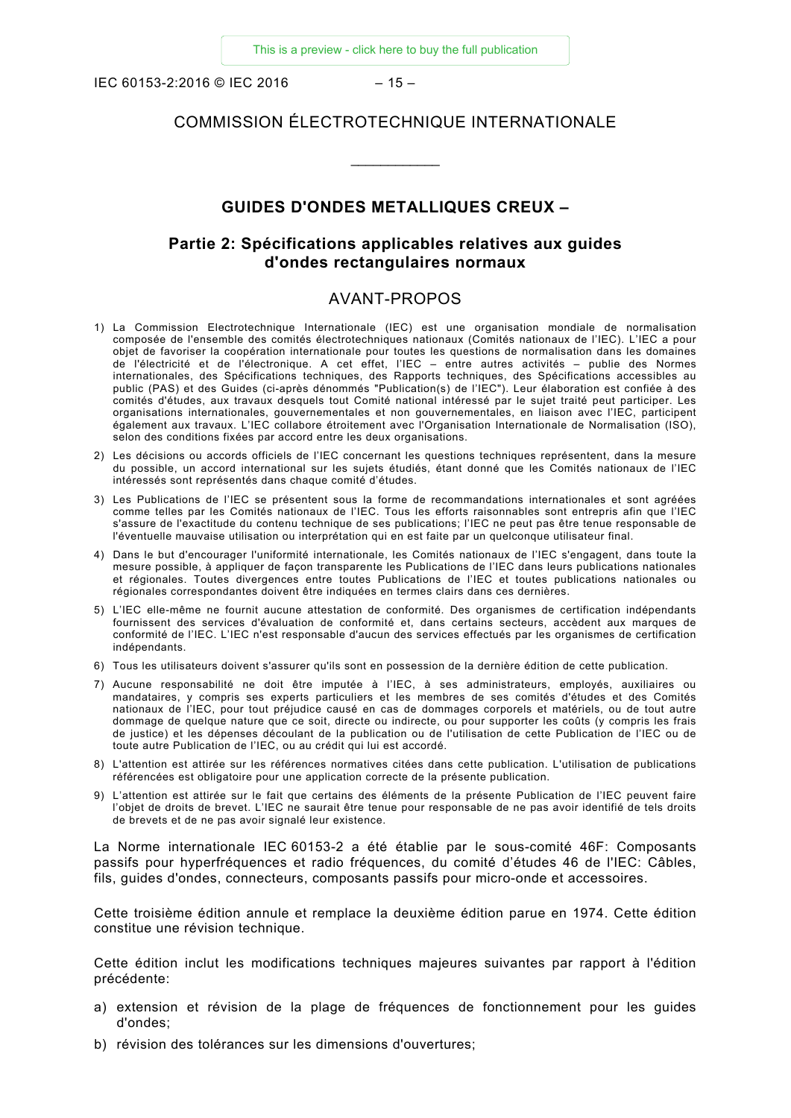IEC 60153-2:2016 © IEC 2016 – 15 –

## COMMISSION ÉLECTROTECHNIQUE INTERNATIONALE

\_\_\_\_\_\_\_\_\_\_\_\_

## **GUIDES D'ONDES METALLIQUES CREUX –**

## **Partie 2: Spécifications applicables relatives aux guides d'ondes rectangulaires normaux**

## AVANT-PROPOS

- <span id="page-7-0"></span>1) La Commission Electrotechnique Internationale (IEC) est une organisation mondiale de normalisation composée de l'ensemble des comités électrotechniques nationaux (Comités nationaux de l'IEC). L'IEC a pour objet de favoriser la coopération internationale pour toutes les questions de normalisation dans les domaines de l'électricité et de l'électronique. A cet effet, l'IEC – entre autres activités – publie des Normes internationales, des Spécifications techniques, des Rapports techniques, des Spécifications accessibles au public (PAS) et des Guides (ci-après dénommés "Publication(s) de l'IEC"). Leur élaboration est confiée à des comités d'études, aux travaux desquels tout Comité national intéressé par le sujet traité peut participer. Les organisations internationales, gouvernementales et non gouvernementales, en liaison avec l'IEC, participent également aux travaux. L'IEC collabore étroitement avec l'Organisation Internationale de Normalisation (ISO), selon des conditions fixées par accord entre les deux organisations.
- 2) Les décisions ou accords officiels de l'IEC concernant les questions techniques représentent, dans la mesure du possible, un accord international sur les sujets étudiés, étant donné que les Comités nationaux de l'IEC intéressés sont représentés dans chaque comité d'études.
- 3) Les Publications de l'IEC se présentent sous la forme de recommandations internationales et sont agréées comme telles par les Comités nationaux de l'IEC. Tous les efforts raisonnables sont entrepris afin que l'IEC s'assure de l'exactitude du contenu technique de ses publications; l'IEC ne peut pas être tenue responsable de l'éventuelle mauvaise utilisation ou interprétation qui en est faite par un quelconque utilisateur final.
- 4) Dans le but d'encourager l'uniformité internationale, les Comités nationaux de l'IEC s'engagent, dans toute la mesure possible, à appliquer de façon transparente les Publications de l'IEC dans leurs publications nationales et régionales. Toutes divergences entre toutes Publications de l'IEC et toutes publications nationales ou régionales correspondantes doivent être indiquées en termes clairs dans ces dernières.
- 5) L'IEC elle-même ne fournit aucune attestation de conformité. Des organismes de certification indépendants fournissent des services d'évaluation de conformité et, dans certains secteurs, accèdent aux marques de conformité de l'IEC. L'IEC n'est responsable d'aucun des services effectués par les organismes de certification indépendants.
- 6) Tous les utilisateurs doivent s'assurer qu'ils sont en possession de la dernière édition de cette publication.
- 7) Aucune responsabilité ne doit être imputée à l'IEC, à ses administrateurs, employés, auxiliaires ou mandataires, y compris ses experts particuliers et les membres de ses comités d'études et des Comités nationaux de l'IEC, pour tout préjudice causé en cas de dommages corporels et matériels, ou de tout autre dommage de quelque nature que ce soit, directe ou indirecte, ou pour supporter les coûts (y compris les frais de justice) et les dépenses découlant de la publication ou de l'utilisation de cette Publication de l'IEC ou de toute autre Publication de l'IEC, ou au crédit qui lui est accordé.
- 8) L'attention est attirée sur les références normatives citées dans cette publication. L'utilisation de publications référencées est obligatoire pour une application correcte de la présente publication.
- 9) L'attention est attirée sur le fait que certains des éléments de la présente Publication de l'IEC peuvent faire l'objet de droits de brevet. L'IEC ne saurait être tenue pour responsable de ne pas avoir identifié de tels droits de brevets et de ne pas avoir signalé leur existence.

La Norme internationale IEC 60153-2 a été établie par le sous-comité 46F: Composants passifs pour hyperfréquences et radio fréquences, du comité d'études 46 de l'IEC: Câbles, fils, guides d'ondes, connecteurs, composants passifs pour micro-onde et accessoires.

Cette troisième édition annule et remplace la deuxième édition parue en 1974. Cette édition constitue une révision technique.

Cette édition inclut les modifications techniques majeures suivantes par rapport à l'édition précédente:

- a) extension et révision de la plage de fréquences de fonctionnement pour les guides d'ondes;
- b) révision des tolérances sur les dimensions d'ouvertures;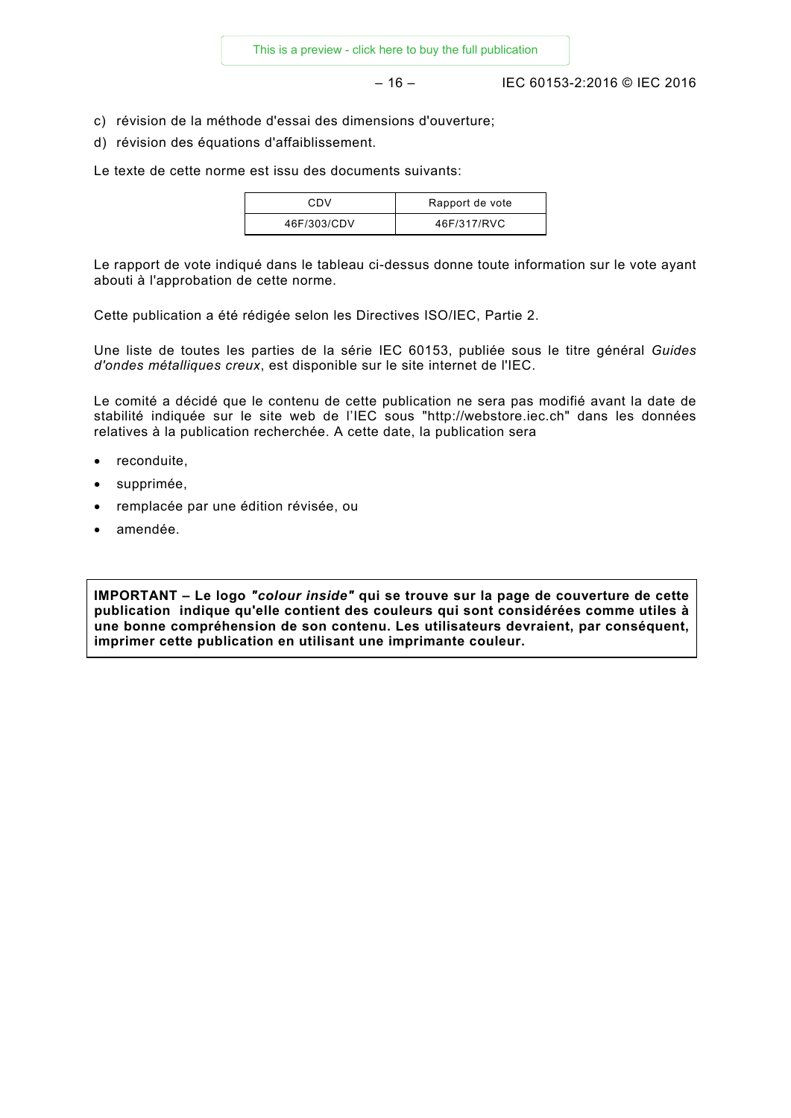– 16 – IEC 60153-2:2016 © IEC 2016

- c) révision de la méthode d'essai des dimensions d'ouverture;
- d) révision des équations d'affaiblissement.

Le texte de cette norme est issu des documents suivants:

| CDV         | Rapport de vote |
|-------------|-----------------|
| 46F/303/CDV | 46F/317/RVC     |

Le rapport de vote indiqué dans le tableau ci-dessus donne toute information sur le vote ayant abouti à l'approbation de cette norme.

Cette publication a été rédigée selon les Directives ISO/IEC, Partie 2.

Une liste de toutes les parties de la série IEC 60153, publiée sous le titre général *Guides d'ondes métalliques creux*, est disponible sur le site internet de l'IEC.

Le comité a décidé que le contenu de cette publication ne sera pas modifié avant la date de stabilité indiquée sur le site web de l'IEC sous "http://webstore.iec.ch" dans les données relatives à la publication recherchée. A cette date, la publication sera

- reconduite,
- supprimée,
- remplacée par une édition révisée, ou
- amendée.

**IMPORTANT – Le logo** *"colour inside"* **qui se trouve sur la page de couverture de cette publication indique qu'elle contient des couleurs qui sont considérées comme utiles à une bonne compréhension de son contenu. Les utilisateurs devraient, par conséquent, imprimer cette publication en utilisant une imprimante couleur.**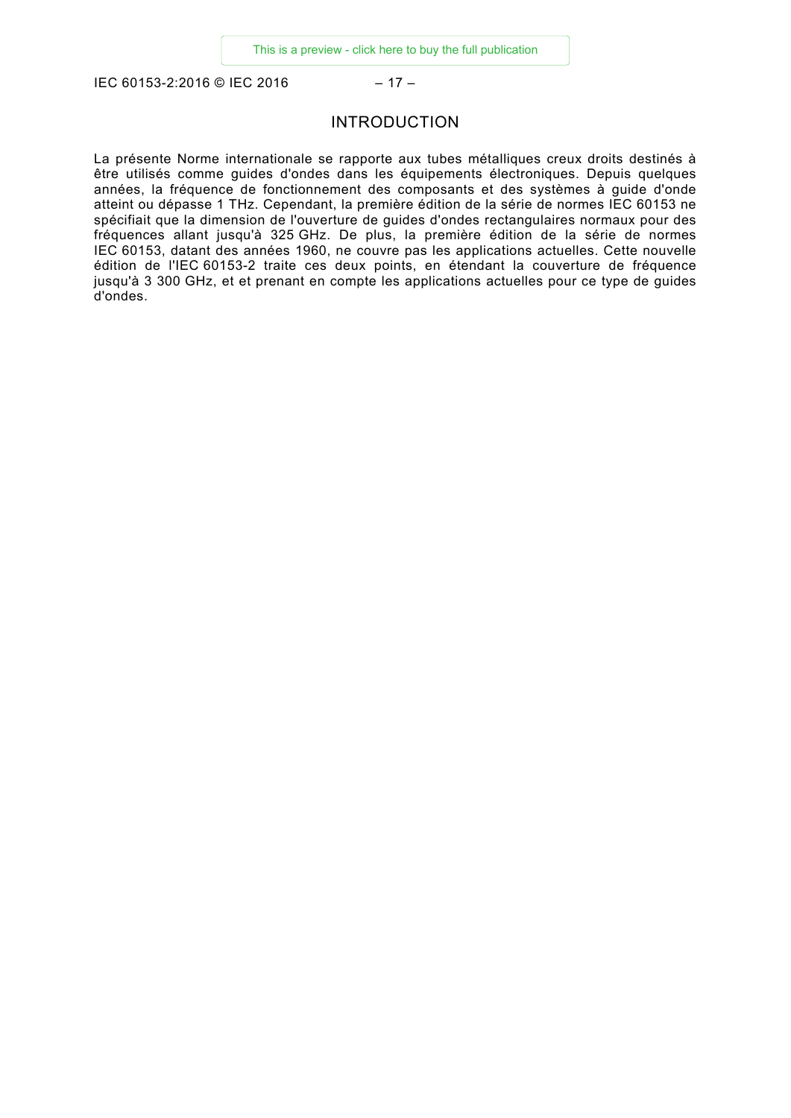<span id="page-9-0"></span>IEC 60153-2:2016 © IEC 2016 – 17 –

## INTRODUCTION

La présente Norme internationale se rapporte aux tubes métalliques creux droits destinés à être utilisés comme guides d'ondes dans les équipements électroniques. Depuis quelques années, la fréquence de fonctionnement des composants et des systèmes à guide d'onde atteint ou dépasse 1 THz. Cependant, la première édition de la série de normes IEC 60153 ne spécifiait que la dimension de l'ouverture de guides d'ondes rectangulaires normaux pour des fréquences allant jusqu'à 325 GHz. De plus, la première édition de la série de normes IEC 60153, datant des années 1960, ne couvre pas les applications actuelles. Cette nouvelle édition de l'IEC 60153-2 traite ces deux points, en étendant la couverture de fréquence jusqu'à 3 300 GHz, et et prenant en compte les applications actuelles pour ce type de guides d'ondes.